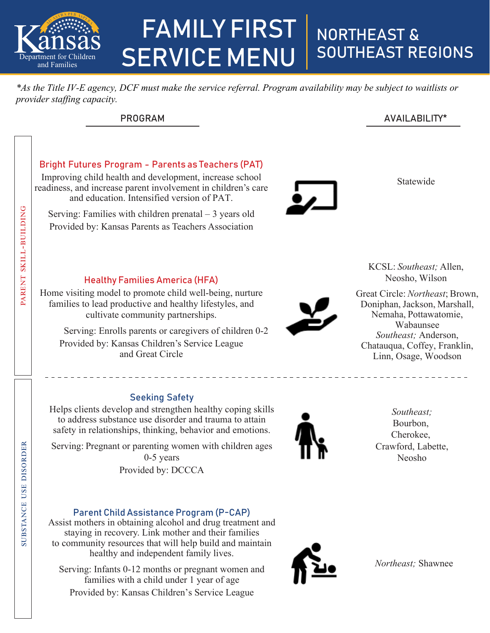

# FAMILY FIRST SERVICE MENU NORTHEAST & SOUTHEAST REGIONS

*\*As the Title IV-E agency, DCF must make the service referral. Program availability may be subject to waitlists or provider staffing capacity.*

| <b>PROGRAM</b> | AVAILABILITY* |
|----------------|---------------|
|                |               |

#### Statewide KCSL: *Southeast;* Allen, Neosho, Wilson Great Circle: *Northeast*; Brown, Doniphan, Jackson, Marshall, Nemaha, Pottawatomie, Wabaunsee *Southeast;* Anderson, Chatauqua, Coffey, Franklin, Linn, Osage, Woodson Bright Futures Program - Parents as Teachers (PAT) Improving child health and development, increase school readiness, and increase parent involvement in children's care and education. Intensified version of PAT. Serving: Families with children prenatal – 3 years old Provided by: Kansas Parents as Teachers Association Healthy Families America (HFA) Home visiting model to promote child well-being, nurture families to lead productive and healthy lifestyles, and cultivate community partnerships. Serving: Enrolls parents or caregivers of children 0-2 Provided by: Kansas Children's Service League and Great Circle Parent Skill-building Seeking Safety Helps clients develop and strengthen healthy coping skills to address substance use disorder and trauma to attain safety in relationships, thinking, behavior and emotions. Serving: Pregnant or parenting women with children ages 0-5 years Provided by: DCCCA Parent Child Assistance Program (P-CAP) Assist mothers in obtaining alcohol and drug treatment and staying in recovery. Link mother and their families to community resources that will help build and maintain healthy and independent family lives. *Southeast;*  Bourbon, Cherokee, Crawford, Labette, Neosho SubS tance uSe diSorder Parent  $\mathbf{z}$  $\sim$  1 use disorder

Serving: Infants 0-12 months or pregnant women and families with a child under 1 year of age Provided by: Kansas Children's Service League

*Northeast;* Shawnee